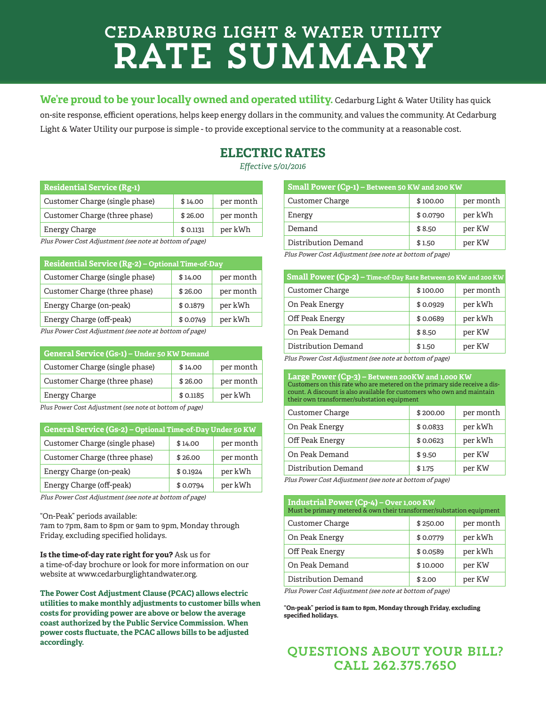# Cedarburg Light & Water Utility Rate Summary

We're proud to be your locally owned and operated utility. Cedarburg Light & Water Utility has quick on-site response, efficient operations, helps keep energy dollars in the community, and values the community. At Cedarburg Light & Water Utility our purpose is simple - to provide exceptional service to the community at a reasonable cost.

## **ELECTRIC RATES**

*Effective 5/01/2016*

| \$14.00   | per month |
|-----------|-----------|
| \$26.00   | per month |
| \$ 0.1131 | per kWh   |
|           |           |

s Power Cost Adjustment (see note at bottom of page,

| Residential Service (Rg-2) - Optional Time-of-Day |          |           |
|---------------------------------------------------|----------|-----------|
| Customer Charge (single phase)                    | \$14.00  | per month |
| Customer Charge (three phase)                     | \$26.00  | per month |
| Energy Charge (on-peak)                           | \$0.1879 | per kWh   |
| Energy Charge (off-peak)                          | \$0.0749 | per kWh   |

Plus Power Cost Adjustment (see note at bottom of page)

| <b>General Service (Gs-1) – Under 50 KW Demand</b> |          |           |
|----------------------------------------------------|----------|-----------|
| Customer Charge (single phase)                     | \$14.00  | per month |
| Customer Charge (three phase)                      | \$26.00  | per month |
| Energy Charge                                      | \$0.1185 | per kWh   |
|                                                    |          |           |

Plus Power Cost Adjustment (see note at bottom of page)

| General Service (Gs-2) – Optional Time-of-Day Under 50 KW |          |           |
|-----------------------------------------------------------|----------|-----------|
| Customer Charge (single phase)                            | \$14.00  | per month |
| Customer Charge (three phase)                             | \$26.00  | per month |
| Energy Charge (on-peak)                                   | \$0.1924 | per kWh   |
| Energy Charge (off-peak)                                  | \$0.0794 | per kWh   |

Plus Power Cost Adjustment (see note at bottom of page)

"On-Peak" periods available:

7am to 7pm, 8am to 8pm or 9am to 9pm, Monday through Friday, excluding specified holidays.

**Is the time-of-day rate right for you?** Ask us for a time-of-day brochure or look for more information on our website at www.cedarburglightandwater.org.

**The Power Cost Adjustment Clause (PCAC) allows electric utilities to make monthly adjustments to customer bills when costs for providing power are above or below the average coast authorized by the Public Service Commission. When power costs fluctuate, the PCAC allows bills to be adjusted accordingly.**

| Small Power (Cp-1) – Between 50 KW and 200 KW |          |           |
|-----------------------------------------------|----------|-----------|
| Customer Charge                               | \$100.00 | per month |
| Energy                                        | \$0.0790 | per kWh   |
| Demand                                        | \$8.50   | per KW    |
| Distribution Demand                           | \$1.50   | per KW    |

Plus Power Cost Adjustment (see note at bottom of page)

| Small Power (Cp-2) - Time-of-Day Rate Between 50 KW and 200 KW |          |           |
|----------------------------------------------------------------|----------|-----------|
| Customer Charge                                                | \$100.00 | per month |
| On Peak Energy                                                 | \$0.0929 | per kWh   |
| Off Peak Energy                                                | \$0.0689 | per kWh   |
| On Peak Demand                                                 | \$8.50   | per KW    |
| Distribution Demand                                            | \$1.50   | per KW    |
|                                                                |          |           |

Plus Power Cost Adjustment (see note at bottom of page)

**Large Power (Cp-3) – Between 200KW and 1,000 KW** Customers on this rate who are metered on the primary side receive a discount. A discount is also available for customers who own and maintain their own transformer/substation equipment

| Customer Charge     | \$200.00 | per month |
|---------------------|----------|-----------|
| On Peak Energy      | \$0.0833 | per kWh   |
| Off Peak Energy     | \$0.0623 | per kWh   |
| On Peak Demand      | \$9.50   | per KW    |
| Distribution Demand | \$1.75   | per KW    |

Plus Power Cost Adjustment (see note at bottom of page)

| Industrial Power (Cp-4) – Over 1,000 KW<br>Must be primary metered & own their transformer/substation equipment |          |           |
|-----------------------------------------------------------------------------------------------------------------|----------|-----------|
| <b>Customer Charge</b>                                                                                          | \$250.00 | per month |
| On Peak Energy                                                                                                  | \$0.0779 | per kWh   |
| Off Peak Energy                                                                                                 | \$0.0589 | per kWh   |
| On Peak Demand                                                                                                  | \$10,000 | per KW    |
| Distribution Demand                                                                                             | \$2.00   | per KW    |
|                                                                                                                 |          |           |

Plus Power Cost Adjustment (see note at bottom of page)

**"On-peak" period is 8am to 8pm, Monday through Friday, excluding specified holidays.**

## QUESTIONS ABOUT YOUR BILL? CALL 262.375.7650